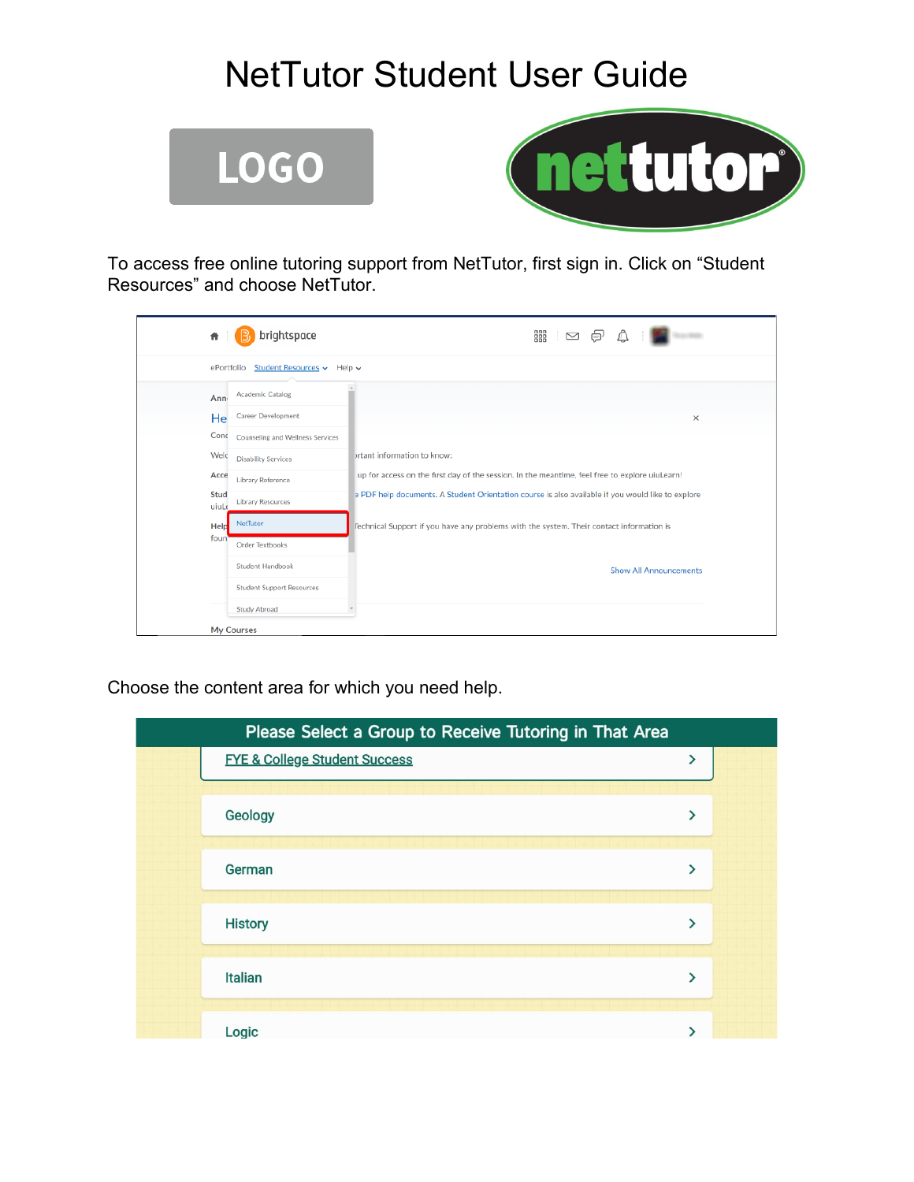# NetTutor Student User Guide





To access free online tutoring support from NetTutor, first sign in. Click on "Student Resources" and choose NetTutor.

| brightspace<br>Ħ                                | 器<br>⊠                                                                                            |
|-------------------------------------------------|---------------------------------------------------------------------------------------------------|
| Student Resources v Help v<br>ePortfolio        |                                                                                                   |
| <b>Academic Catalog</b><br>Ann                  |                                                                                                   |
| <b>Career Development</b><br>He                 | ×                                                                                                 |
| Conc<br><b>Counseling and Wellness Services</b> |                                                                                                   |
| Welc<br><b>Disability Services</b>              | brtant information to know:                                                                       |
| Acce<br>Library Reference                       | up for access on the first day of the session. In the meantime, feel free to explore uiuLearn!    |
| Stud<br><b>Library Resources</b><br>uiuLe       | e PDF help documents. A Student Orientation course is also available if you would like to explore |
| NetTutor<br>Help                                | lechnical Support if you have any problems with the system. Their contact information is          |
| foun<br><b>Order Textbooks</b>                  |                                                                                                   |
| <b>Student Handbook</b>                         | <b>Show All Announcements</b>                                                                     |
| <b>Student Support Resources</b>                |                                                                                                   |
| <b>Study Abroad</b>                             |                                                                                                   |
| My Courses                                      |                                                                                                   |

Choose the content area for which you need help.

| Please Select a Group to Receive Tutoring in That Area |                                          |               |  |
|--------------------------------------------------------|------------------------------------------|---------------|--|
|                                                        | <b>FYE &amp; College Student Success</b> | ⋋             |  |
|                                                        |                                          |               |  |
|                                                        | Geology                                  | ⋟             |  |
|                                                        |                                          |               |  |
|                                                        | German                                   | ⋟             |  |
|                                                        |                                          |               |  |
|                                                        | <b>History</b>                           | $\rightarrow$ |  |
|                                                        |                                          |               |  |
|                                                        | <b>Italian</b>                           | ⋟             |  |
|                                                        |                                          |               |  |
|                                                        | Logic                                    |               |  |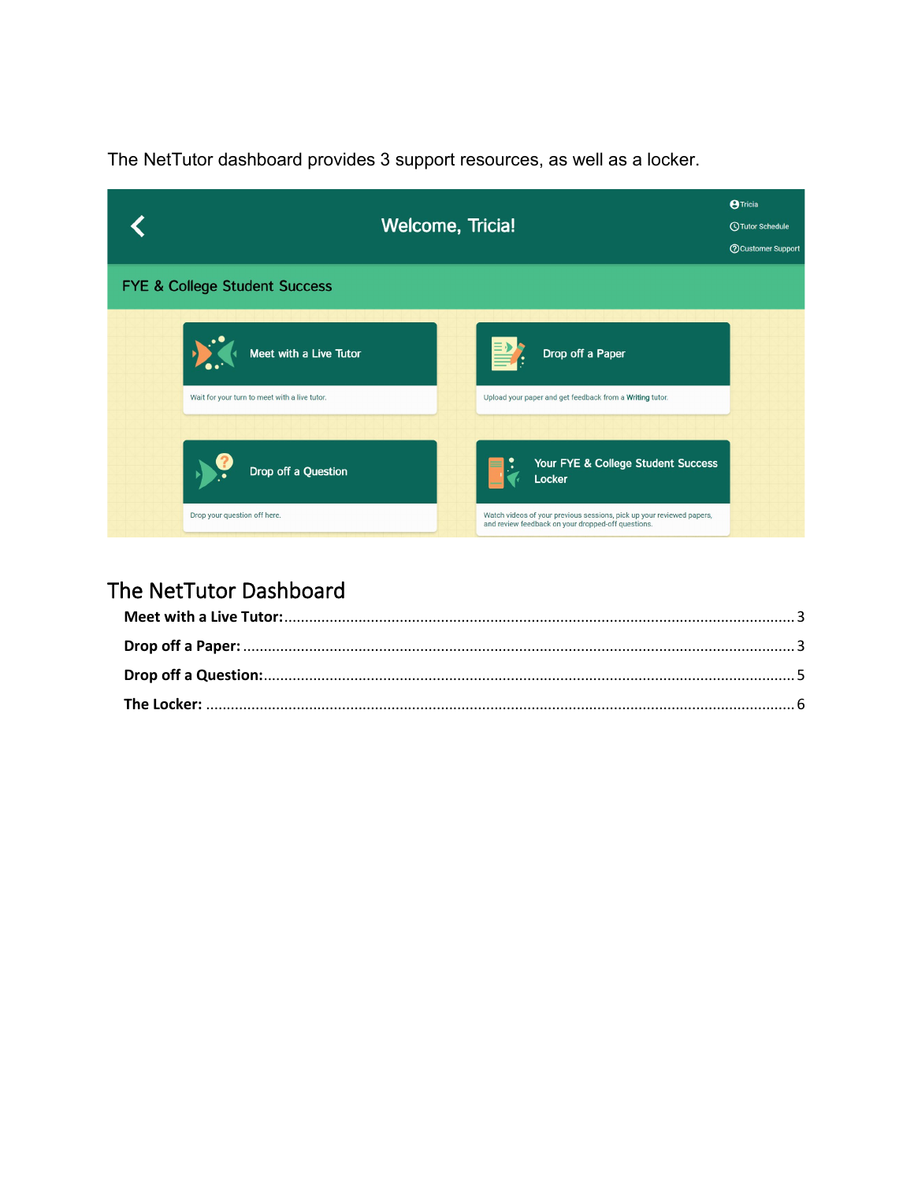The NetTutor dashboard provides 3 support resources, as well as a locker.

|                                               | <b>Welcome, Tricia!</b>                                                                                                     |  |  |
|-----------------------------------------------|-----------------------------------------------------------------------------------------------------------------------------|--|--|
| <b>FYE &amp; College Student Success</b>      |                                                                                                                             |  |  |
| Meet with a Live Tutor                        | Drop off a Paper                                                                                                            |  |  |
| Wait for your turn to meet with a live tutor. | Upload your paper and get feedback from a Writing tutor.                                                                    |  |  |
| Drop off a Question                           | Your FYE & College Student Success                                                                                          |  |  |
| Drop your question off here.                  | Watch videos of your previous sessions, pick up your reviewed papers,<br>and review feedback on your dropped-off questions. |  |  |

#### The NetTutor Dashboard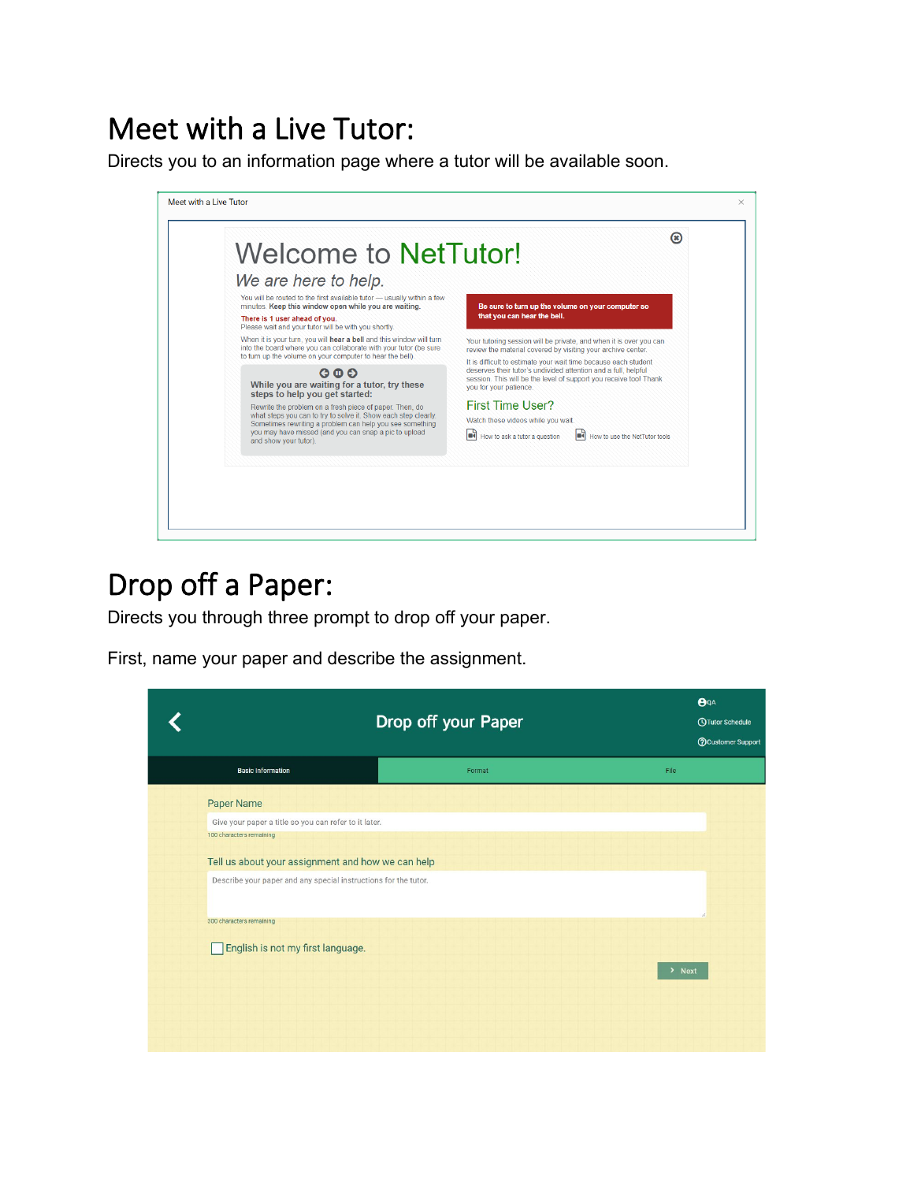### <span id="page-2-0"></span>Meet with a Live Tutor:

Directs you to an information page where a tutor will be available soon.



### <span id="page-2-1"></span>Drop off a Paper:

Directs you through three prompt to drop off your paper.

First, name your paper and describe the assignment.

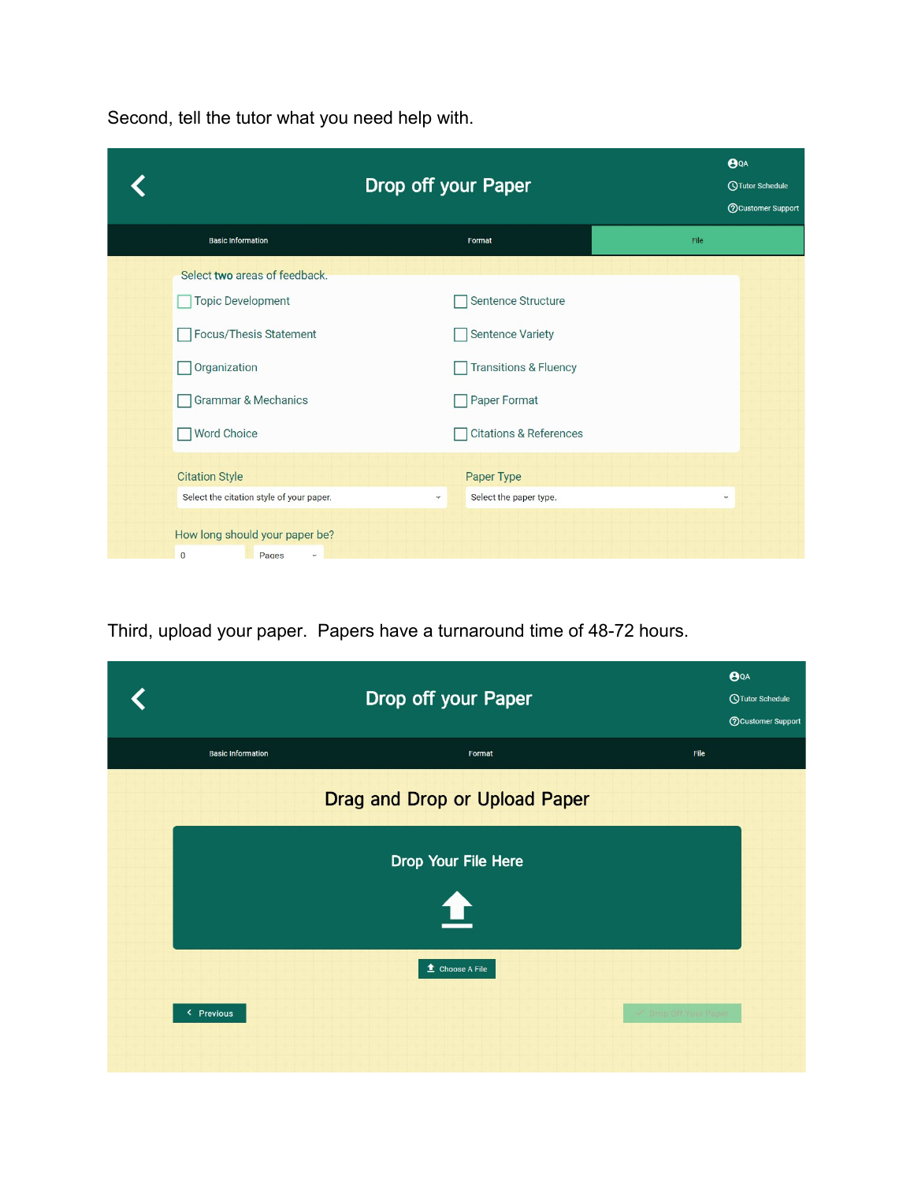Second, tell the tutor what you need help with.

| Drop off your Paper                                                       |              |                                   | BQA<br><b>OTutor Schedule</b><br><b>?</b> Customer Support |                |
|---------------------------------------------------------------------------|--------------|-----------------------------------|------------------------------------------------------------|----------------|
| <b>Basic Information</b>                                                  |              | Format                            | File                                                       |                |
| Select two areas of feedback.                                             |              |                                   |                                                            |                |
| <b>Topic Development</b>                                                  |              | Sentence Structure                |                                                            |                |
| Focus/Thesis Statement                                                    |              | <b>Sentence Variety</b>           |                                                            |                |
| Organization                                                              |              | <b>Transitions &amp; Fluency</b>  |                                                            |                |
| <b>Grammar &amp; Mechanics</b>                                            |              | Paper Format                      |                                                            |                |
| <b>Word Choice</b>                                                        |              | <b>Citations &amp; References</b> |                                                            |                |
| <b>Citation Style</b>                                                     |              | Paper Type                        |                                                            |                |
| Select the citation style of your paper.                                  | $\mathbf{v}$ | Select the paper type.            |                                                            | $\tau_{\rm F}$ |
| How long should your paper be?<br>$\overline{0}$<br>Pages<br>$\mathbf{v}$ |              |                                   |                                                            |                |

Third, upload your paper. Papers have a turnaround time of 48-72 hours.

|                          | Drop off your Paper               | $\mathbf{\Theta}$ QA<br><b>QTutor Schedule</b><br><b>O</b> Customer Support |
|--------------------------|-----------------------------------|-----------------------------------------------------------------------------|
| <b>Basic Information</b> | Format                            | File                                                                        |
|                          | Drag and Drop or Upload Paper     |                                                                             |
|                          | Drop Your File Here               |                                                                             |
|                          | Q                                 |                                                                             |
|                          | <b><sup>₫</sup></b> Choose A File |                                                                             |
| < Previous               |                                   | Drop Off Your Paper                                                         |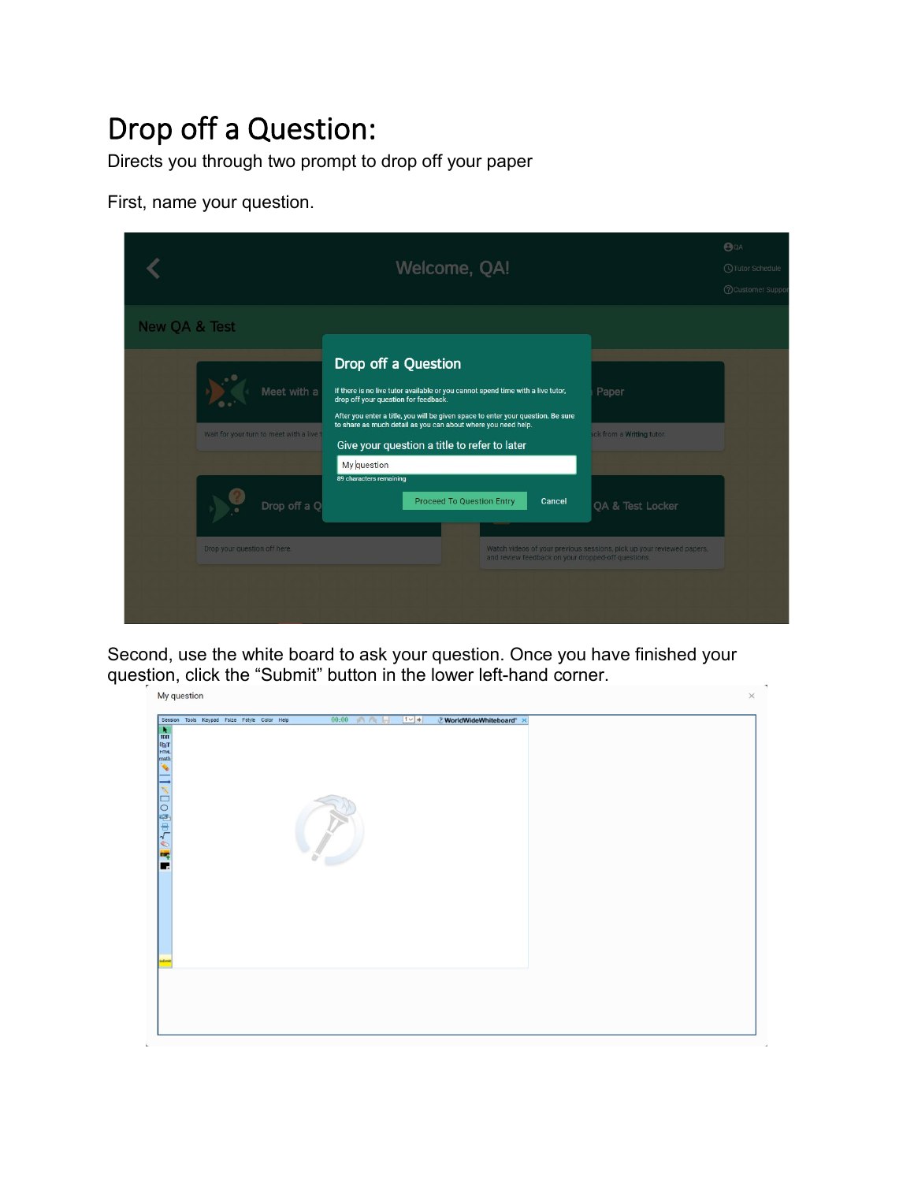# <span id="page-4-0"></span>Drop off a Question:

Directs you through two prompt to drop off your paper

First, name your question.

|               |                                                         | Welcome, QA!                                                                                                                                                                                                                                                                                                                 | BQA<br><b>OTutor Schedule</b><br>(?) Customer Suppo                   |
|---------------|---------------------------------------------------------|------------------------------------------------------------------------------------------------------------------------------------------------------------------------------------------------------------------------------------------------------------------------------------------------------------------------------|-----------------------------------------------------------------------|
| New QA & Test |                                                         | Drop off a Question                                                                                                                                                                                                                                                                                                          |                                                                       |
|               | Meet with a<br>Wait for your turn to meet with a live t | If there is no live tutor available or you cannot spend time with a live tutor,<br>drop off your question for feedback.<br>After you enter a title, you will be given space to enter your question. Be sure<br>to share as much detail as you can about where you need help.<br>Give your question a title to refer to later | Paper<br>ack from a Writing tutor.                                    |
|               | Drop off a Q                                            | My question<br>89 characters remaining<br><b>Proceed To Question Entry</b><br>Cancel                                                                                                                                                                                                                                         | QA & Test Locker                                                      |
|               | Drop your question off here.                            | and review feedback on your dropped-off questions.                                                                                                                                                                                                                                                                           | Watch videos of your previous sessions, pick up your reviewed papers, |

Second, use the white board to ask your question. Once you have finished your question, click the "Submit" button in the lower left-hand corner.